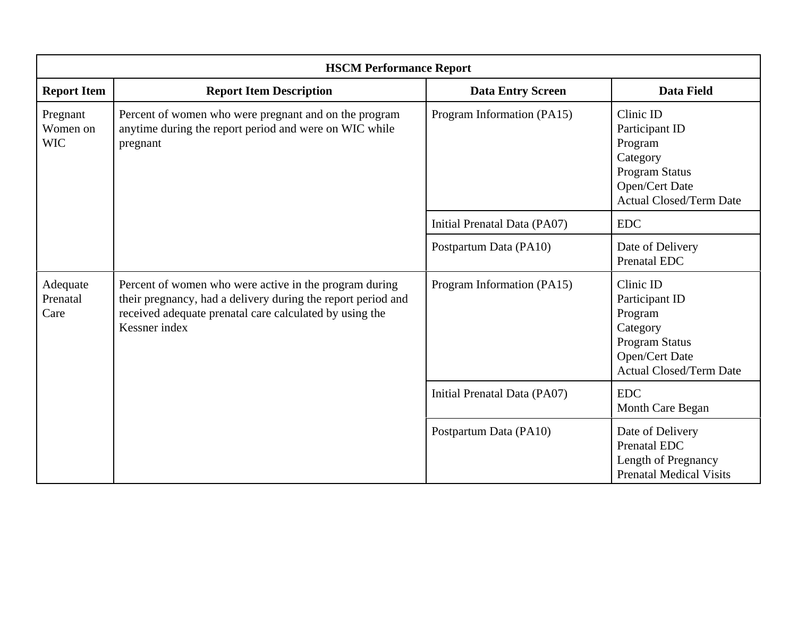| <b>HSCM Performance Report</b>     |                                                                                                                                                                                                    |                              |                                                                                                                                 |
|------------------------------------|----------------------------------------------------------------------------------------------------------------------------------------------------------------------------------------------------|------------------------------|---------------------------------------------------------------------------------------------------------------------------------|
| <b>Report Item</b>                 | <b>Report Item Description</b>                                                                                                                                                                     | <b>Data Entry Screen</b>     | <b>Data Field</b>                                                                                                               |
| Pregnant<br>Women on<br><b>WIC</b> | Percent of women who were pregnant and on the program<br>anytime during the report period and were on WIC while<br>pregnant                                                                        | Program Information (PA15)   | Clinic ID<br>Participant ID<br>Program<br>Category<br><b>Program Status</b><br>Open/Cert Date<br><b>Actual Closed/Term Date</b> |
|                                    |                                                                                                                                                                                                    | Initial Prenatal Data (PA07) | <b>EDC</b>                                                                                                                      |
|                                    |                                                                                                                                                                                                    | Postpartum Data (PA10)       | Date of Delivery<br><b>Prenatal EDC</b>                                                                                         |
| Adequate<br>Prenatal<br>Care       | Percent of women who were active in the program during<br>their pregnancy, had a delivery during the report period and<br>received adequate prenatal care calculated by using the<br>Kessner index | Program Information (PA15)   | Clinic ID<br>Participant ID<br>Program<br>Category<br><b>Program Status</b><br>Open/Cert Date<br><b>Actual Closed/Term Date</b> |
|                                    |                                                                                                                                                                                                    | Initial Prenatal Data (PA07) | <b>EDC</b><br>Month Care Began                                                                                                  |
|                                    |                                                                                                                                                                                                    | Postpartum Data (PA10)       | Date of Delivery<br><b>Prenatal EDC</b><br>Length of Pregnancy<br><b>Prenatal Medical Visits</b>                                |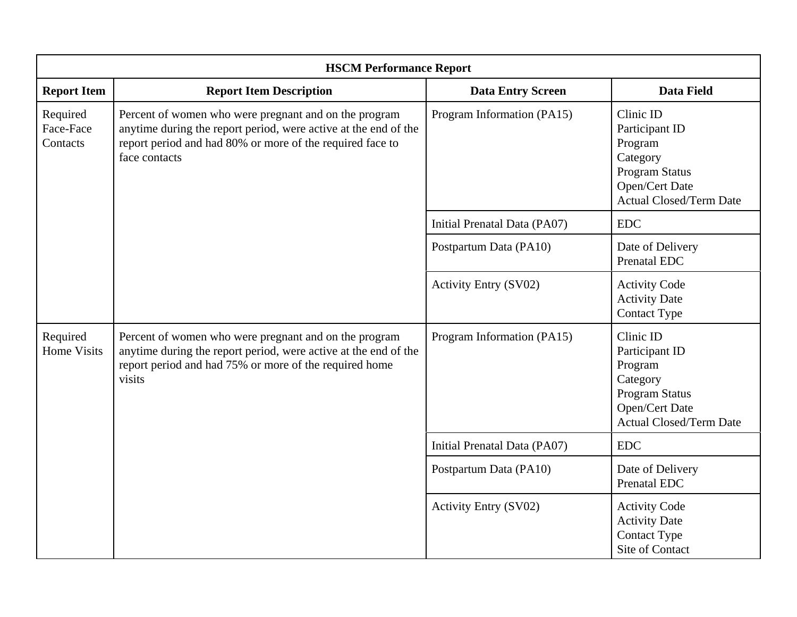| <b>HSCM Performance Report</b>    |                                                                                                                                                                                                        |                              |                                                                                                                                 |
|-----------------------------------|--------------------------------------------------------------------------------------------------------------------------------------------------------------------------------------------------------|------------------------------|---------------------------------------------------------------------------------------------------------------------------------|
| <b>Report Item</b>                | <b>Report Item Description</b>                                                                                                                                                                         | <b>Data Entry Screen</b>     | <b>Data Field</b>                                                                                                               |
| Required<br>Face-Face<br>Contacts | Percent of women who were pregnant and on the program<br>anytime during the report period, were active at the end of the<br>report period and had 80% or more of the required face to<br>face contacts | Program Information (PA15)   | Clinic ID<br>Participant ID<br>Program<br>Category<br><b>Program Status</b><br>Open/Cert Date<br><b>Actual Closed/Term Date</b> |
|                                   |                                                                                                                                                                                                        | Initial Prenatal Data (PA07) | <b>EDC</b>                                                                                                                      |
|                                   |                                                                                                                                                                                                        | Postpartum Data (PA10)       | Date of Delivery<br><b>Prenatal EDC</b>                                                                                         |
|                                   |                                                                                                                                                                                                        | <b>Activity Entry (SV02)</b> | <b>Activity Code</b><br><b>Activity Date</b><br><b>Contact Type</b>                                                             |
| Required<br><b>Home Visits</b>    | Percent of women who were pregnant and on the program<br>anytime during the report period, were active at the end of the<br>report period and had 75% or more of the required home<br>visits           | Program Information (PA15)   | Clinic ID<br>Participant ID<br>Program<br>Category<br><b>Program Status</b><br>Open/Cert Date<br><b>Actual Closed/Term Date</b> |
|                                   |                                                                                                                                                                                                        | Initial Prenatal Data (PA07) | <b>EDC</b>                                                                                                                      |
|                                   |                                                                                                                                                                                                        | Postpartum Data (PA10)       | Date of Delivery<br><b>Prenatal EDC</b>                                                                                         |
|                                   |                                                                                                                                                                                                        | <b>Activity Entry (SV02)</b> | <b>Activity Code</b><br><b>Activity Date</b><br>Contact Type<br><b>Site of Contact</b>                                          |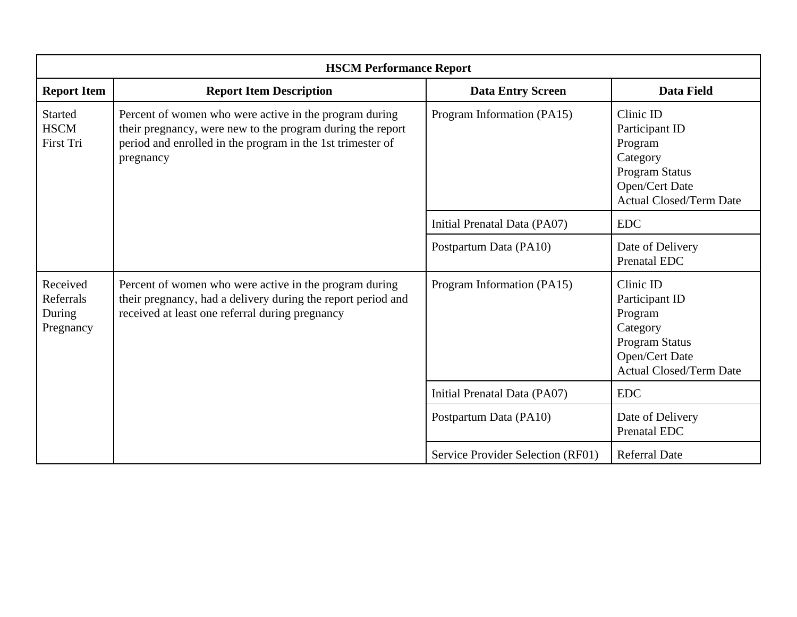| <b>HSCM Performance Report</b>               |                                                                                                                                                                                                 |                                   |                                                                                                                                 |
|----------------------------------------------|-------------------------------------------------------------------------------------------------------------------------------------------------------------------------------------------------|-----------------------------------|---------------------------------------------------------------------------------------------------------------------------------|
| <b>Report Item</b>                           | <b>Report Item Description</b>                                                                                                                                                                  | <b>Data Entry Screen</b>          | <b>Data Field</b>                                                                                                               |
| <b>Started</b><br><b>HSCM</b><br>First Tri   | Percent of women who were active in the program during<br>their pregnancy, were new to the program during the report<br>period and enrolled in the program in the 1st trimester of<br>pregnancy | Program Information (PA15)        | Clinic ID<br>Participant ID<br>Program<br>Category<br>Program Status<br>Open/Cert Date<br><b>Actual Closed/Term Date</b>        |
|                                              |                                                                                                                                                                                                 | Initial Prenatal Data (PA07)      | <b>EDC</b>                                                                                                                      |
|                                              |                                                                                                                                                                                                 | Postpartum Data (PA10)            | Date of Delivery<br>Prenatal EDC                                                                                                |
| Received<br>Referrals<br>During<br>Pregnancy | Percent of women who were active in the program during<br>their pregnancy, had a delivery during the report period and<br>received at least one referral during pregnancy                       | Program Information (PA15)        | Clinic ID<br>Participant ID<br>Program<br>Category<br><b>Program Status</b><br>Open/Cert Date<br><b>Actual Closed/Term Date</b> |
|                                              |                                                                                                                                                                                                 | Initial Prenatal Data (PA07)      | <b>EDC</b>                                                                                                                      |
|                                              |                                                                                                                                                                                                 | Postpartum Data (PA10)            | Date of Delivery<br>Prenatal EDC                                                                                                |
|                                              |                                                                                                                                                                                                 | Service Provider Selection (RF01) | <b>Referral Date</b>                                                                                                            |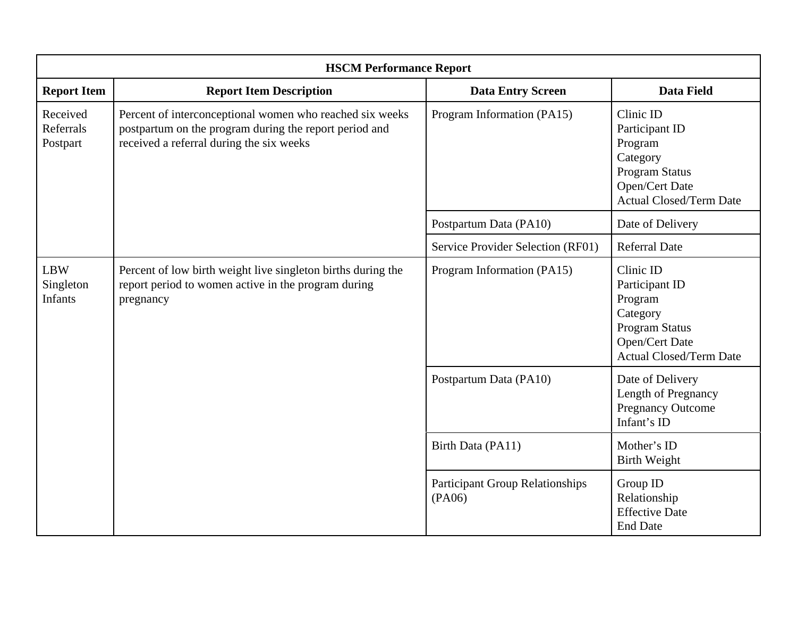| <b>HSCM Performance Report</b>     |                                                                                                                                                                |                                                  |                                                                                                                                 |
|------------------------------------|----------------------------------------------------------------------------------------------------------------------------------------------------------------|--------------------------------------------------|---------------------------------------------------------------------------------------------------------------------------------|
| <b>Report Item</b>                 | <b>Report Item Description</b>                                                                                                                                 | <b>Data Entry Screen</b>                         | <b>Data Field</b>                                                                                                               |
| Received<br>Referrals<br>Postpart  | Percent of interconceptional women who reached six weeks<br>postpartum on the program during the report period and<br>received a referral during the six weeks | Program Information (PA15)                       | Clinic ID<br>Participant ID<br>Program<br>Category<br><b>Program Status</b><br>Open/Cert Date<br><b>Actual Closed/Term Date</b> |
|                                    |                                                                                                                                                                | Postpartum Data (PA10)                           | Date of Delivery                                                                                                                |
|                                    |                                                                                                                                                                | Service Provider Selection (RF01)                | <b>Referral Date</b>                                                                                                            |
| <b>LBW</b><br>Singleton<br>Infants | Percent of low birth weight live singleton births during the<br>report period to women active in the program during<br>pregnancy                               | Program Information (PA15)                       | Clinic ID<br>Participant ID<br>Program<br>Category<br><b>Program Status</b><br>Open/Cert Date<br><b>Actual Closed/Term Date</b> |
|                                    |                                                                                                                                                                | Postpartum Data (PA10)                           | Date of Delivery<br>Length of Pregnancy<br><b>Pregnancy Outcome</b><br>Infant's ID                                              |
|                                    |                                                                                                                                                                | Birth Data (PA11)                                | Mother's ID<br><b>Birth Weight</b>                                                                                              |
|                                    |                                                                                                                                                                | <b>Participant Group Relationships</b><br>(PA06) | Group ID<br>Relationship<br><b>Effective Date</b><br><b>End Date</b>                                                            |